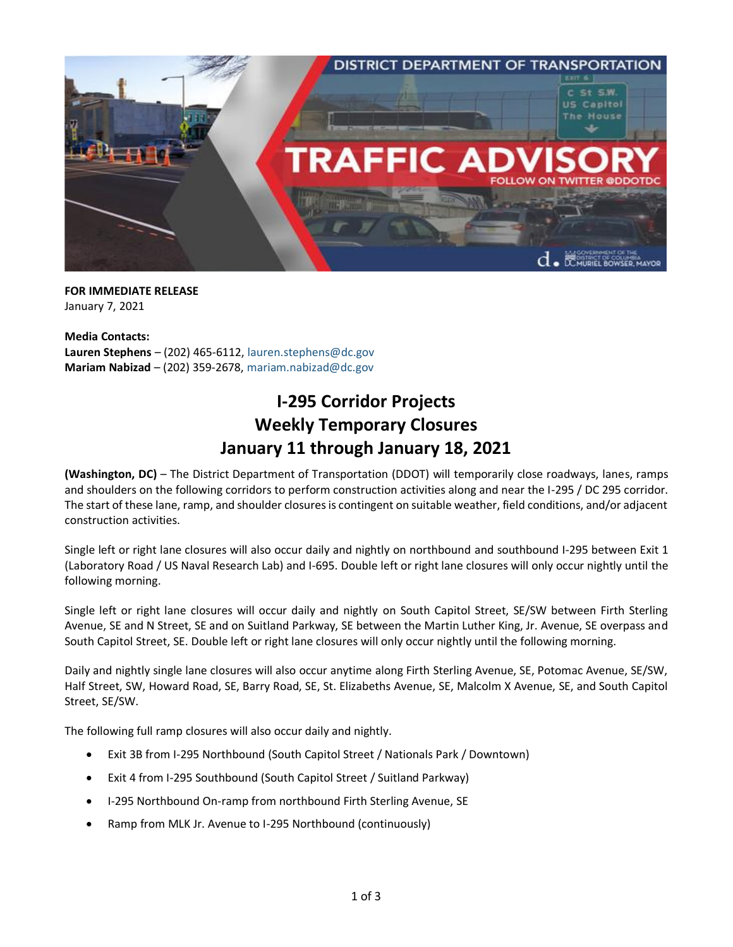

**FOR IMMEDIATE RELEASE** January 7, 2021

**Media Contacts: Lauren Stephens** – (202) 465-6112, [lauren.stephens@dc.gov](mailto:lauren.stephens@dc.gov) **Mariam Nabizad** – (202) 359-2678, [mariam.nabizad@dc.gov](mailto:mariam.nabizad@dc.gov)

## **I-295 Corridor Projects Weekly Temporary Closures January 11 through January 18, 2021**

**(Washington, DC)** – The District Department of Transportation (DDOT) will temporarily close roadways, lanes, ramps and shoulders on the following corridors to perform construction activities along and near the I-295 / DC 295 corridor. The start of these lane, ramp, and shoulder closures is contingent on suitable weather, field conditions, and/or adjacent construction activities.

Single left or right lane closures will also occur daily and nightly on northbound and southbound I-295 between Exit 1 (Laboratory Road / US Naval Research Lab) and I-695. Double left or right lane closures will only occur nightly until the following morning.

Single left or right lane closures will occur daily and nightly on South Capitol Street, SE/SW between Firth Sterling Avenue, SE and N Street, SE and on Suitland Parkway, SE between the Martin Luther King, Jr. Avenue, SE overpass and South Capitol Street, SE. Double left or right lane closures will only occur nightly until the following morning.

Daily and nightly single lane closures will also occur anytime along Firth Sterling Avenue, SE, Potomac Avenue, SE/SW, Half Street, SW, Howard Road, SE, Barry Road, SE, St. Elizabeths Avenue, SE, Malcolm X Avenue, SE, and South Capitol Street, SE/SW.

The following full ramp closures will also occur daily and nightly.

- Exit 3B from I-295 Northbound (South Capitol Street / Nationals Park / Downtown)
- Exit 4 from I-295 Southbound (South Capitol Street / Suitland Parkway)
- I-295 Northbound On-ramp from northbound Firth Sterling Avenue, SE
- Ramp from MLK Jr. Avenue to I-295 Northbound (continuously)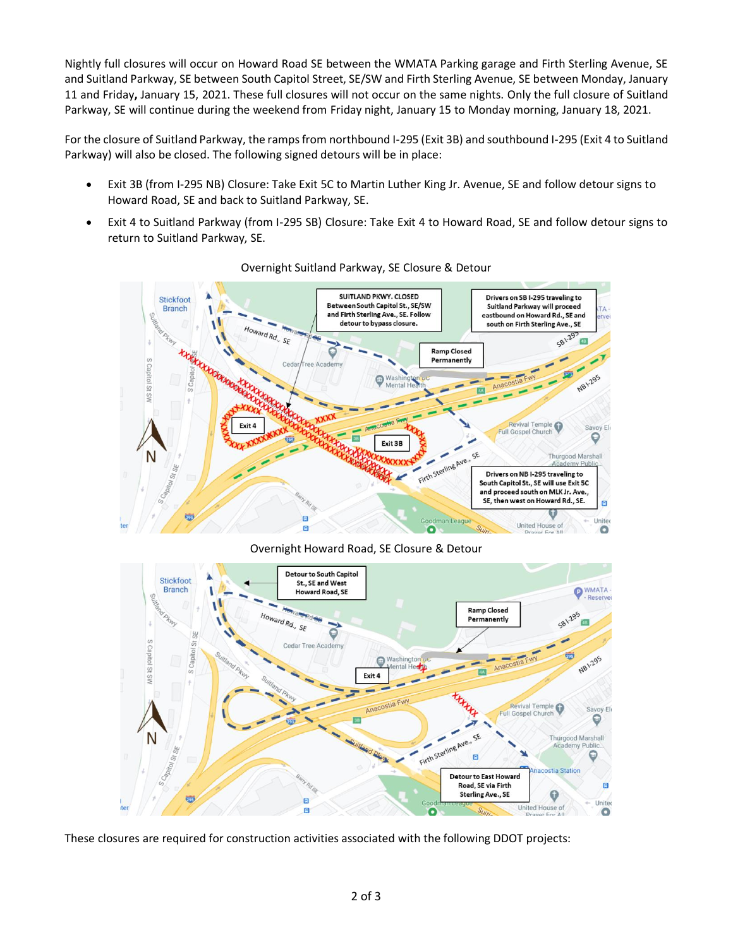Nightly full closures will occur on Howard Road SE between the WMATA Parking garage and Firth Sterling Avenue, SE and Suitland Parkway, SE between South Capitol Street, SE/SW and Firth Sterling Avenue, SE between Monday, January 11 and Friday**,** January 15, 2021. These full closures will not occur on the same nights. Only the full closure of Suitland Parkway, SE will continue during the weekend from Friday night, January 15 to Monday morning, January 18, 2021.

For the closure of Suitland Parkway, the ramps from northbound I-295 (Exit 3B) and southbound I-295 (Exit 4 to Suitland Parkway) will also be closed. The following signed detours will be in place:

- Exit 3B (from I-295 NB) Closure: Take Exit 5C to Martin Luther King Jr. Avenue, SE and follow detour signs to Howard Road, SE and back to Suitland Parkway, SE.
- Exit 4 to Suitland Parkway (from I-295 SB) Closure: Take Exit 4 to Howard Road, SE and follow detour signs to return to Suitland Parkway, SE.



## Overnight Suitland Parkway, SE Closure & Detour

Overnight Howard Road, SE Closure & Detour



These closures are required for construction activities associated with the following DDOT projects: